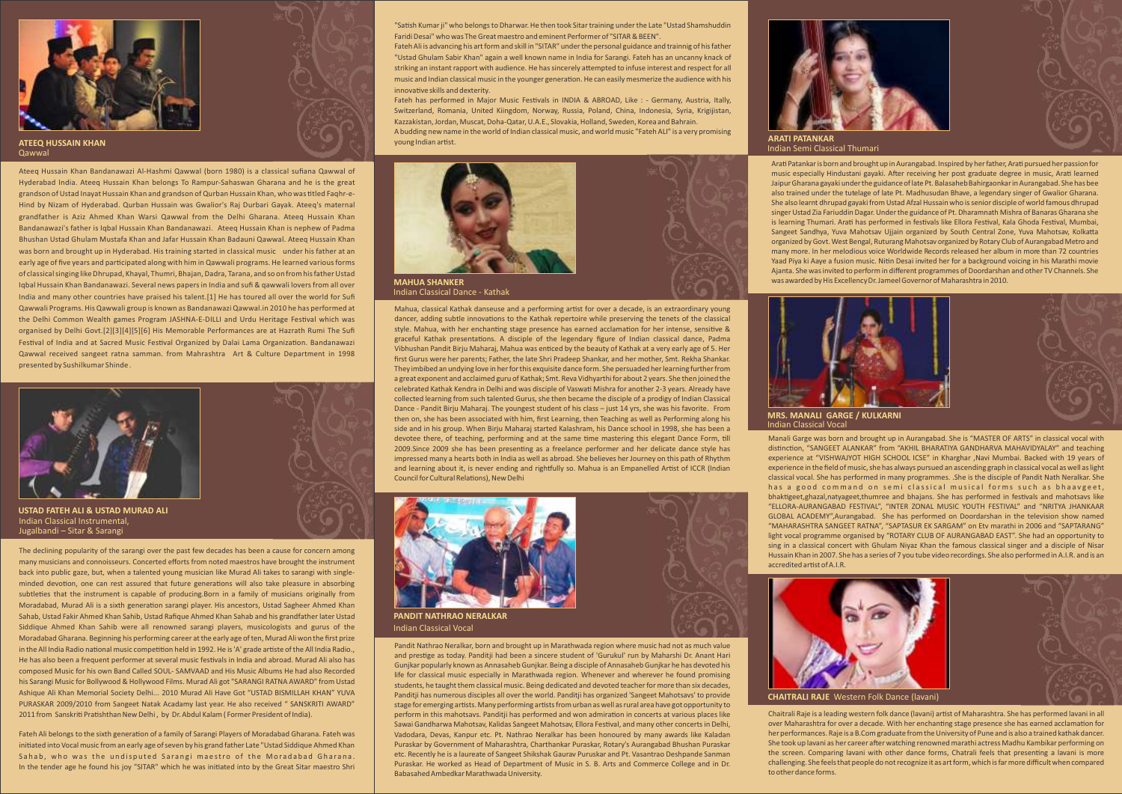

**ATEEQ HUSSAIN KHAN** Qawwal

Ateeq Hussain Khan Bandanawazi Al-Hashmi Qawwal (born 1980) is a classical sufiana Qawwal of Hyderabad India. Ateeq Hussain Khan belongs To Rampur-Sahaswan Gharana and he is the great grandson of Ustad Inayat Hussain Khan and grandson of Qurban Hussain Khan, who was titled Faqhr-e-Hind by Nizam of Hyderabad. Qurban Hussain was Gwalior's Raj Durbari Gayak. Ateeq's maternal grandfather is Aziz Ahmed Khan Warsi Qawwal from the Delhi Gharana. Ateeq Hussain Khan Bandanawazi's father is Iqbal Hussain Khan Bandanawazi. Ateeq Hussain Khan is nephew of Padma Bhushan Ustad Ghulam Mustafa Khan and Jafar Hussain Khan Badauni Qawwal. Ateeq Hussain Khan was born and brought up in Hyderabad. His training started in classical music under his father at an early age of five years and parcipated along with him in Qawwali programs. He learned various forms of classical singing like Dhrupad, Khayal, Thumri, Bhajan, Dadra, Tarana, and so on from his father Ustad Iqbal Hussain Khan Bandanawazi. Several news papers in India and sufi & qawwali lovers from all over India and many other countries have praised his talent.[1] He has toured all over the world for Sufi Qawwali Programs. His Qawwali group is known as Bandanawazi Qawwal.in 2010 he has performed at the Delhi Common Wealth games Program JASHNA-E-DILLI and Urdu Heritage Festival which was organised by Delhi Govt.[2][3][4][5][6] His Memorable Performances are at Hazrath Rumi The Sufi Festival of India and at Sacred Music Festival Organized by Dalai Lama Organization. Bandanawazi Qawwal received sangeet ratna samman. from Mahrashtra Art & Culture Department in 1998 presented by Sushilkumar Shinde .



The declining popularity of the sarangi over the past few decades has been a cause for concern among many musicians and connoisseurs. Concerted efforts from noted maestros have brought the instrument back into public gaze, but, when a talented young musician like Murad Ali takes to sarangi with singleminded devotion, one can rest assured that future generations will also take pleasure in absorbing subtleties that the instrument is capable of producing.Born in a family of musicians originally from Moradabad, Murad Ali is a sixth generation sarangi player. His ancestors, Ustad Sagheer Ahmed Khan Sahab, Ustad Fakir Ahmed Khan Sahib, Ustad Rafique Ahmed Khan Sahab and his grandfather later Ustad Siddique Ahmed Khan Sahib were all renowned sarangi players, musicologists and gurus of the Moradabad Gharana. Beginning his performing career at the early age of ten, Murad Ali won the first prize in the All India Radio national music competition held in 1992. He is 'A' grade artiste of the All India Radio., He has also been a frequent performer at several music festivals in India and abroad. Murad Ali also has composed Music for his own Band Called SOUL- SAMVAAD and His Music Albums He had also Recorded his Sarangi Music for Bollywood & Hollywood Films. Murad Ali got "SARANGI RATNA AWARD" from Ustad Ashique Ali Khan Memorial Society Delhi... 2010 Murad Ali Have Got "USTAD BISMILLAH KHAN" YUVA PURASKAR 2009/2010 from Sangeet Natak Acadamy last year. He also received " SANSKRITI AWARD" 2011 from Sanskriti Pratishthan New Delhi , by Dr. Abdul Kalam ( Former President of India).

Fateh Ali belongs to the sixth generation of a family of Sarangi Players of Moradabad Gharana. Fateh was initiated into Vocal music from an early age of seven by his grand father Late "Ustad Siddique Ahmed Khan Sahab, who was the undisputed Sarangi maestro of the Moradabad Gharana. In the tender age he found his joy "SITAR" which he was initiated into by the Great Sitar maestro Shri

"Sash Kumar ji" who belongs to Dharwar. He then took Sitar training under the Late "Ustad Shamshuddin Faridi Desai" who was The Great maestro and eminent Performer of "SITAR & BEEN".

Fateh Ali is advancing his art form and skill in "SITAR" under the personal guidance and trainnig of his father "Ustad Ghulam Sabir Khan" again a well known name in India for Sarangi. Fateh has an uncanny knack of striking an instant rapport with audience. He has sincerely attempted to infuse interest and respect for all music and Indian classical music in the younger generation. He can easily mesmerize the audience with his innovative skills and dexterity

Fateh has performed in Major Music Festivals in INDIA & ABROAD, Like : - Germany, Austria, Itally, Switzerland, Romania, United Kiingdom, Norway, Russia, Poland, China, Indonesia, Syria, Krigijistan, Kazzakistan, Jordan, Muscat, Doha-Qatar, U.A.E., Slovakia, Holland, Sweden, Korea and Bahrain. A budding new name in the world of Indian classical music, and world music "Fateh ALI" is a very promising

young Indian artist.



Indian Classical Dance - Kathak

Mahua, classical Kathak danseuse and a performing artist for over a decade, is an extraordinary young dancer, adding subtle innovations to the Kathak repertoire while preserving the tenets of the classical style. Mahua, with her enchanting stage presence has earned acclamation for her intense, sensitive & graceful Kathak presentations. A disciple of the legendary figure of Indian classical dance, Padma Vibhushan Pandit Birju Maharaj, Mahua was enticed by the beauty of Kathak at a very early age of 5. Her first Gurus were her parents; Father, the late Shri Pradeep Shankar, and her mother, Smt. Rekha Shankar. They imbibed an undying love in her for this exquisite dance form. She persuaded her learning further from a great exponent and acclaimed guru of Kathak; Smt. Reva Vidhyarthi for about 2 years. She then joined the celebrated Kathak Kendra in Delhi and was disciple of Vaswati Mishra for another 2-3 years. Already have collected learning from such talented Gurus, she then became the disciple of a prodigy of Indian Classical Dance - Pandit Birju Maharaj. The youngest student of his class – just 14 yrs, she was his favorite. From then on, she has been associated with him, first Learning, then Teaching as well as Performing along his side and in his group. When Birju Maharaj started Kalashram, his Dance school in 1998, she has been a devotee there, of teaching, performing and at the same time mastering this elegant Dance Form, till 2009.Since 2009 she has been presenng as a freelance performer and her delicate dance style has impressed many a hearts both in India as well as abroad. She believes her Journey on this path of Rhythm and learning about it, is never ending and rightfully so. Mahua is an Empanelled Artist of ICCR (Indian Council for Cultural Relations), New Delhi



**PANDIT NATHRAO NERALKAR** Indian Classical Vocal

Pandit Nathrao Neralkar, born and brought up in Marathwada region where music had not as much value and prestige as today. Panditii had been a sincere student of 'Gurukul' run by Maharshi Dr. Anant Hari Gunjkar popularly known as Annasaheb Gunjkar. Being a disciple of Annasaheb Gunjkar he has devoted his life for classical music especially in Marathwada region. Whenever and wherever he found promising students, he taught them classical music. Being dedicated and devoted teacher for more than six decades, Panditji has numerous disciples all over the world. Panditji has organized 'Sangeet Mahotsavs' to provide stage for emerging artists. Many performing artists from urban as well as rural area have got opportunity to perform in this mahotsavs. Panditii has performed and won admiration in concerts at various places like Sawai Gandharwa Mahotsav, Kalidas Sangeet Mahotsav, Ellora Festival, and many other concerts in Delhi, Vadodara, Devas, Kanpur etc. Pt. Nathrao Neralkar has been honoured by many awards like Kaladan Puraskar by Government of Maharashtra, Charthankar Puraskar, Rotary's Aurangabad Bhushan Puraskar etc. Recently he is a laureate of Sangeet Shikshak Gaurav Puruskar and Pt. Vasantrao Deshpande Sanman Puraskar. He worked as Head of Department of Music in S. B. Arts and Commerce College and in Dr. Babasahed Ambedkar Marathwada University.



Indian Semi Classical Thumari **ARATI PATANKAR**

Arati Patankar is born and brought up in Aurangabad. Inspired by her father, Arati pursued her passion for music especially Hindustani gayaki. After receiving her post graduate degree in music, Arati learned Jaipur Gharana gayaki under the guidance of late Pt. Balasaheb Bahirgaonkar in Aurangabad. She has bee also trained under the tutelage of late Pt. Madhusudan Bhave, a legendary singer of Gwalior Gharana. She also learnt dhrupad gayaki from Ustad Afzal Hussain who is senior disciple of world famous dhrupad singer Ustad Zia Fariuddin Dagar. Under the guidance of Pt. Dharamnath Mishra of Banaras Gharana she is learning Thumari. Arati has performed in festivals like Ellora Festival, Kala Ghoda Festival, Mumbai, Sangeet Sandhya, Yuva Mahotsav Ujjain organized by South Central Zone, Yuva Mahotsav, Kolkatta organized by Govt. West Bengal, Ruturang Mahotsav organized by Rotary Club of Aurangabad Metro and many more. In her melodious voice Worldwide Records released her album in more than 72 countries Yaad Piya ki Aaye a fusion music. Nitin Desai invited her for a background voicing in his Marathi movie Ajanta. She was invited to perform in different programmes of Doordarshan and other TV Channels. She was awarded by His Excellency Dr. Jameel Governor of Maharashtra in 2010.



Indian Classical Vocal **MRS. MANALI GARGE / KULKARNI** 

Manali Garge was born and brought up in Aurangabad. She is "MASTER OF ARTS" in classical vocal with distinction, "SANGEET ALANKAR" from "AKHIL BHARATIYA GANDHARVA MAHAVIDYALAY" and teaching experience at "VISHWAJYOT HIGH SCHOOL ICSE" in Kharghar ,Navi Mumbai. Backed with 19 years of experience in the field of music, she has always pursued an ascending graph in classical vocal as well as light classical vocal. She has performed in many programmes. .She is the disciple of Pandit Nath Neralkar. She has a good command on semi classical musical forms such as bhaavgeet. bhaktigeet,ghazal,natyageet,thumree and bhajans. She has performed in festivals and mahotsays like "ELLORA-AURANGABAD FESTIVAL", "INTER ZONAL MUSIC YOUTH FESTIVAL" and "NRITYA JHANKAAR GLOBAL ACADEMY",Aurangabad. She has performed on Doordarshan in the television show named "MAHARASHTRA SANGEET RATNA", "SAPTASUR EK SARGAM" on Etv marathi in 2006 and "SAPTARANG" light vocal programme organised by "ROTARY CLUB OF AURANGABAD EAST". She had an opportunity to sing in a classical concert with Ghulam Niyaz Khan the famous classical singer and a disciple of Nisar Hussain Khan in 2007. She has a series of 7 you tube video recordings. She also performed in A.I.R. and is an accredited artist of A.I.R.



Chaitrali Raje is a leading western folk dance (lavani) artist of Maharashtra. She has performed lavani in all over Maharashtra for over a decade. With her enchanng stage presence she has earned acclamaon for her performances. Raje is a B.Com graduate from the University of Pune and is also a trained kathak dancer. She took up lavani as her career after watching renowned marathi actress Madhu Kambikar performing on the screen. Comparing lavani with other dance forms, Chatrali feels that presenting a lavani is more challenging. She feels that people do not recognize it as art form, which is far more difficult when compared to other dance forms.